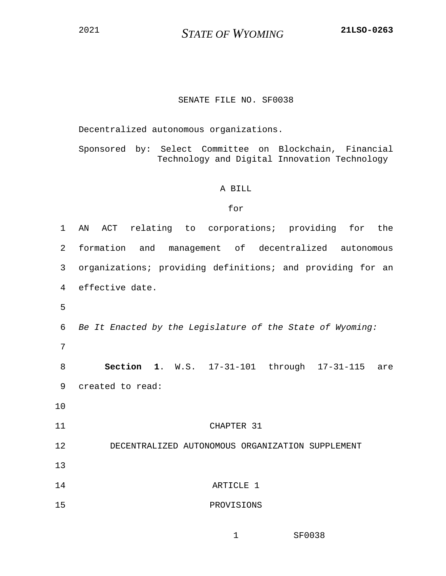## SENATE FILE NO. SF0038

Decentralized autonomous organizations.

Sponsored by: Select Committee on Blockchain, Financial Technology and Digital Innovation Technology

## A BILL

## for

| $\mathbf{1}$   | ACT relating to corporations; providing for the<br>AN      |
|----------------|------------------------------------------------------------|
| $\overline{a}$ | formation and management of decentralized autonomous       |
| 3              | organizations; providing definitions; and providing for an |
| 4              | effective date.                                            |
| 5              |                                                            |
| 6              | Be It Enacted by the Legislature of the State of Wyoming:  |
| 7              |                                                            |
| 8              | <b>Section 1.</b> W.S. 17-31-101 through 17-31-115<br>are  |
| 9              | created to read:                                           |
| 10             |                                                            |
| 11             | CHAPTER 31                                                 |
| 12             | DECENTRALIZED AUTONOMOUS ORGANIZATION SUPPLEMENT           |
| 13             |                                                            |
| 14             | ARTICLE 1                                                  |
| 15             | PROVISIONS                                                 |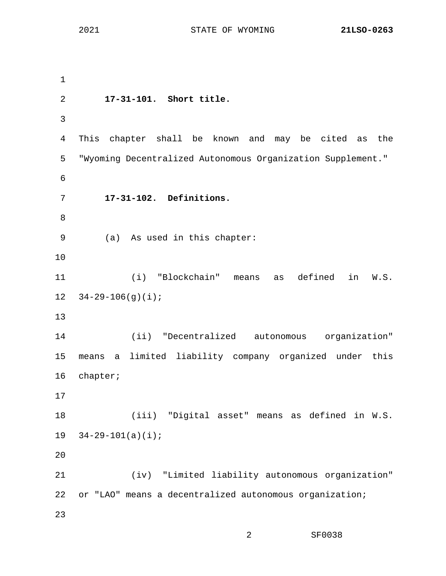1 2 **17-31-101. Short title.** 3 4 This chapter shall be known and may be cited as the 5 "Wyoming Decentralized Autonomous Organization Supplement." 6 7 **17-31-102. Definitions.** 8 9 (a) As used in this chapter: 10 11 (i) "Blockchain" means as defined in W.S. 12  $34-29-106(q)(i)$ ; 13 14 (ii) "Decentralized autonomous organization" 15 means a limited liability company organized under this 16 chapter; 17 18 (iii) "Digital asset" means as defined in W.S. 19 34-29-101(a)(i); 20 21 (iv) "Limited liability autonomous organization" 22 or "LAO" means a decentralized autonomous organization; 23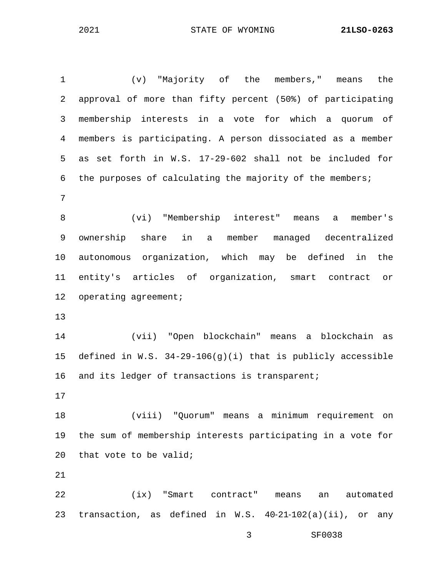| $\mathbf{1}$ | (v) "Majority of the members," means<br>the                   |
|--------------|---------------------------------------------------------------|
| 2            | approval of more than fifty percent (50%) of participating    |
| 3            | membership interests in a vote for which a quorum of          |
| 4            | members is participating. A person dissociated as a member    |
| 5            | as set forth in W.S. 17-29-602 shall not be included for      |
| 6            | the purposes of calculating the majority of the members;      |
| 7            |                                                               |
| 8            | (vi) "Membership interest" means<br>member's<br>a             |
| 9            | ownership share in a member managed decentralized             |
| 10           | autonomous organization, which may be defined in the          |
| 11           | entity's articles of organization, smart contract or          |
| 12           | operating agreement;                                          |
| 13           |                                                               |
| 14           | (vii) "Open blockchain" means a blockchain as                 |
| 15           | defined in W.S. $34-29-106(q)(i)$ that is publicly accessible |
| 16           | and its ledger of transactions is transparent;                |
| 17           |                                                               |
| 18           | (viii) "Quorum" means a minimum requirement<br>on             |
| 19           | the sum of membership interests participating in a vote for   |
| 20           | that vote to be valid;                                        |
| 21           |                                                               |
| 22           | "Smart<br>(ix)<br>automated<br>contract"<br>means<br>an       |

23 transaction, as defined in W.S. 40‑21‑102(a)(ii), or any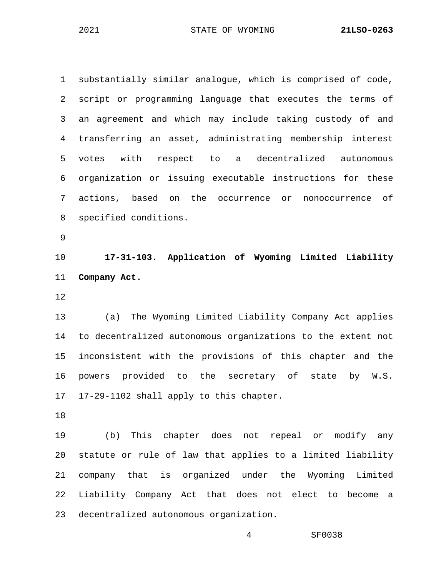1 substantially similar analogue, which is comprised of code, 2 script or programming language that executes the terms of 3 an agreement and which may include taking custody of and 4 transferring an asset, administrating membership interest 5 votes with respect to a decentralized autonomous 6 organization or issuing executable instructions for these 7 actions, based on the occurrence or nonoccurrence of 8 specified conditions. 9

10 **17-31-103. Application of Wyoming Limited Liability**  11 **Company Act.**

12

13 (a) The Wyoming Limited Liability Company Act applies 14 to decentralized autonomous organizations to the extent not 15 inconsistent with the provisions of this chapter and the 16 powers provided to the secretary of state by W.S. 17 17-29-1102 shall apply to this chapter.

18

19 (b) This chapter does not repeal or modify any 20 statute or rule of law that applies to a limited liability 21 company that is organized under the Wyoming Limited 22 Liability Company Act that does not elect to become a 23 decentralized autonomous organization.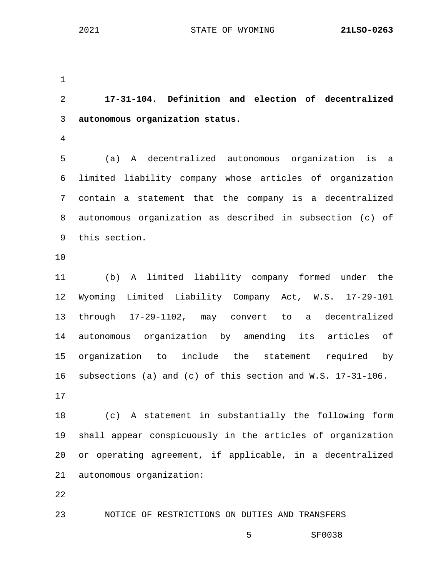1 2 **17-31-104. Definition and election of decentralized**  3 **autonomous organization status.** 4 5 (a) A decentralized autonomous organization is a 6 limited liability company whose articles of organization 7 contain a statement that the company is a decentralized 8 autonomous organization as described in subsection (c) of 9 this section. 10 11 (b) A limited liability company formed under the 12 Wyoming Limited Liability Company Act, W.S. 17-29-101 13 through 17-29-1102, may convert to a decentralized 14 autonomous organization by amending its articles of 15 organization to include the statement required by 16 subsections (a) and (c) of this section and W.S. 17-31-106. 17 18 (c) A statement in substantially the following form 19 shall appear conspicuously in the articles of organization 20 or operating agreement, if applicable, in a decentralized 21 autonomous organization: 22 23 NOTICE OF RESTRICTIONS ON DUTIES AND TRANSFERS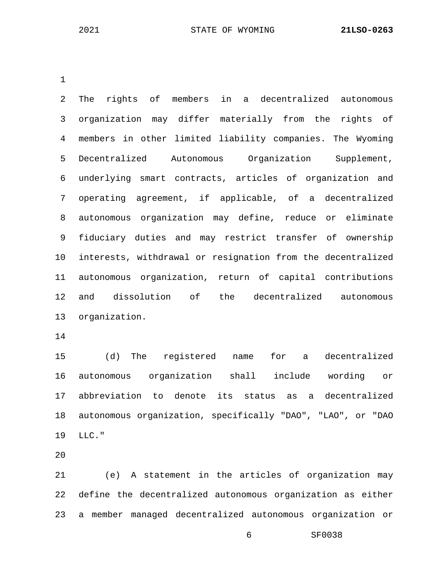1

2 The rights of members in a decentralized autonomous 3 organization may differ materially from the rights of 4 members in other limited liability companies. The Wyoming 5 Decentralized Autonomous Organization Supplement, 6 underlying smart contracts, articles of organization and 7 operating agreement, if applicable, of a decentralized 8 autonomous organization may define, reduce or eliminate 9 fiduciary duties and may restrict transfer of ownership 10 interests, withdrawal or resignation from the decentralized 11 autonomous organization, return of capital contributions 12 and dissolution of the decentralized autonomous 13 organization.

14

15 (d) The registered name for a decentralized 16 autonomous organization shall include wording or 17 abbreviation to denote its status as a decentralized 18 autonomous organization, specifically "DAO", "LAO", or "DAO 19 LLC."

20

21 (e) A statement in the articles of organization may 22 define the decentralized autonomous organization as either 23 a member managed decentralized autonomous organization or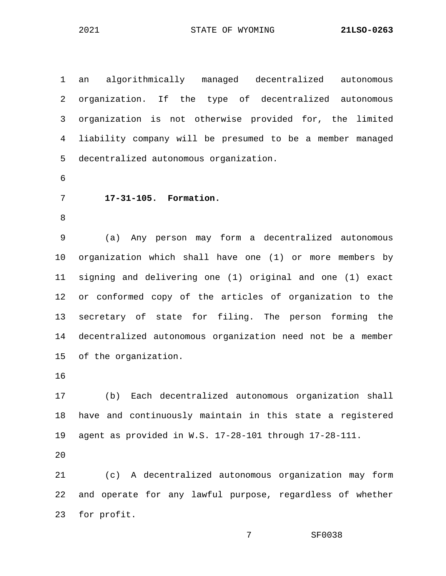1 an algorithmically managed decentralized autonomous 2 organization. If the type of decentralized autonomous 3 organization is not otherwise provided for, the limited 4 liability company will be presumed to be a member managed 5 decentralized autonomous organization.

6

## 7 **17-31-105. Formation.**

8

9 (a) Any person may form a decentralized autonomous 10 organization which shall have one (1) or more members by 11 signing and delivering one (1) original and one (1) exact 12 or conformed copy of the articles of organization to the 13 secretary of state for filing. The person forming the 14 decentralized autonomous organization need not be a member 15 of the organization.

16

17 (b) Each decentralized autonomous organization shall 18 have and continuously maintain in this state a registered 19 agent as provided in W.S. 17-28-101 through 17-28-111.

20

21 (c) A decentralized autonomous organization may form 22 and operate for any lawful purpose, regardless of whether 23 for profit.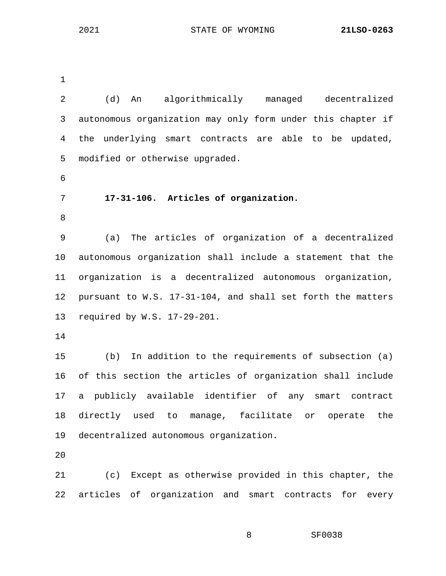1

2 (d) An algorithmically managed decentralized 3 autonomous organization may only form under this chapter if 4 the underlying smart contracts are able to be updated, 5 modified or otherwise upgraded. 6 7 **17-31-106. Articles of organization.** 8 9 (a) The articles of organization of a decentralized 10 autonomous organization shall include a statement that the 11 organization is a decentralized autonomous organization, 12 pursuant to W.S. 17-31-104, and shall set forth the matters 13 required by W.S. 17-29-201. 14 15 (b) In addition to the requirements of subsection (a) 16 of this section the articles of organization shall include 17 a publicly available identifier of any smart contract 18 directly used to manage, facilitate or operate the 19 decentralized autonomous organization. 20 21 (c) Except as otherwise provided in this chapter, the 22 articles of organization and smart contracts for every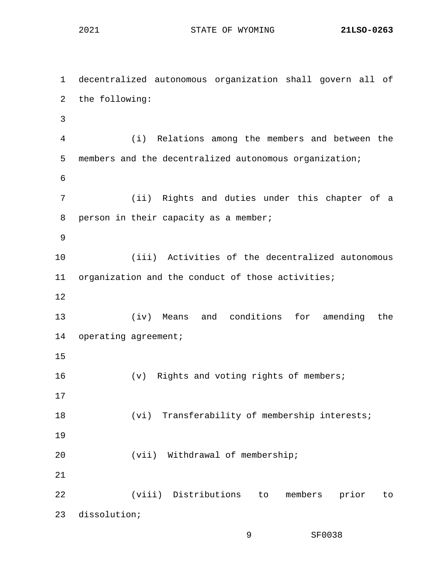1 decentralized autonomous organization shall govern all of 2 the following: 3 4 (i) Relations among the members and between the 5 members and the decentralized autonomous organization; 6 7 (ii) Rights and duties under this chapter of a 8 person in their capacity as a member; 9 10 (iii) Activities of the decentralized autonomous 11 organization and the conduct of those activities; 12 13 (iv) Means and conditions for amending the 14 operating agreement; 15 16 (v) Rights and voting rights of members; 17 18 (vi) Transferability of membership interests; 19 20 (vii) Withdrawal of membership; 21 22 (viii) Distributions to members prior to 23 dissolution;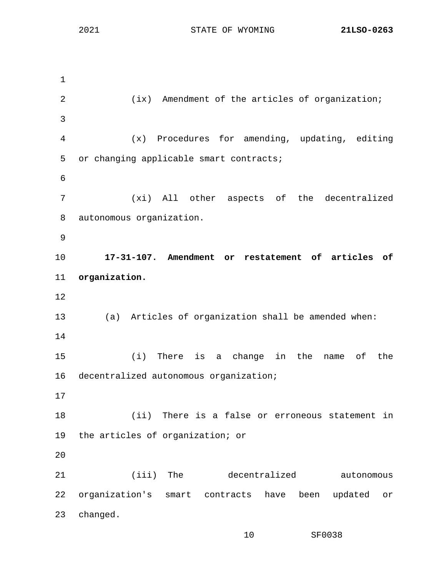1 2 (ix) Amendment of the articles of organization; 3 4 (x) Procedures for amending, updating, editing 5 or changing applicable smart contracts; 6 7 (xi) All other aspects of the decentralized 8 autonomous organization. 9 10 **17-31-107. Amendment or restatement of articles of**  11 **organization.** 12 13 (a) Articles of organization shall be amended when: 14 15 (i) There is a change in the name of the 16 decentralized autonomous organization; 17 18 (ii) There is a false or erroneous statement in 19 the articles of organization; or 20 21 (iii) The decentralized autonomous 22 organization's smart contracts have been updated or 23 changed.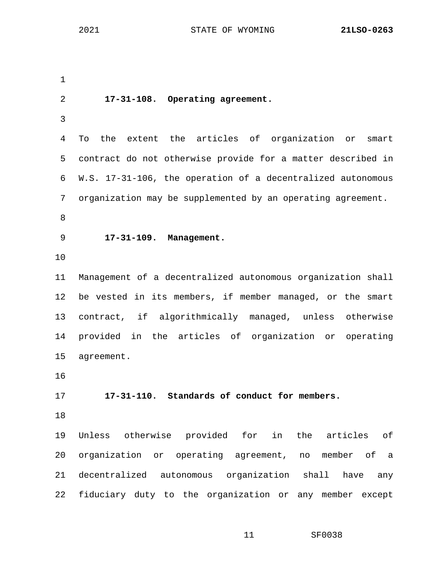1 2 **17-31-108. Operating agreement.** 3 4 To the extent the articles of organization or smart 5 contract do not otherwise provide for a matter described in 6 W.S. 17-31-106, the operation of a decentralized autonomous 7 organization may be supplemented by an operating agreement. 8 9 **17-31-109. Management.** 10 11 Management of a decentralized autonomous organization shall 12 be vested in its members, if member managed, or the smart 13 contract, if algorithmically managed, unless otherwise 14 provided in the articles of organization or operating 15 agreement. 16 17 **17-31-110. Standards of conduct for members.** 18 19 Unless otherwise provided for in the articles of 20 organization or operating agreement, no member of a 21 decentralized autonomous organization shall have any 22 fiduciary duty to the organization or any member except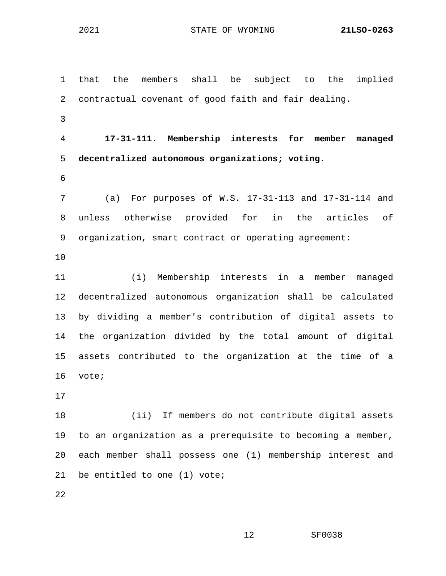1 that the members shall be subject to the implied 2 contractual covenant of good faith and fair dealing. 3 4 **17-31-111. Membership interests for member managed**  5 **decentralized autonomous organizations; voting.** 6 7 (a) For purposes of W.S. 17-31-113 and 17-31-114 and 8 unless otherwise provided for in the articles of 9 organization, smart contract or operating agreement: 10 11 (i) Membership interests in a member managed 12 decentralized autonomous organization shall be calculated 13 by dividing a member's contribution of digital assets to 14 the organization divided by the total amount of digital 15 assets contributed to the organization at the time of a 16 vote; 17 18 (ii) If members do not contribute digital assets 19 to an organization as a prerequisite to becoming a member, 20 each member shall possess one (1) membership interest and 21 be entitled to one (1) vote; 22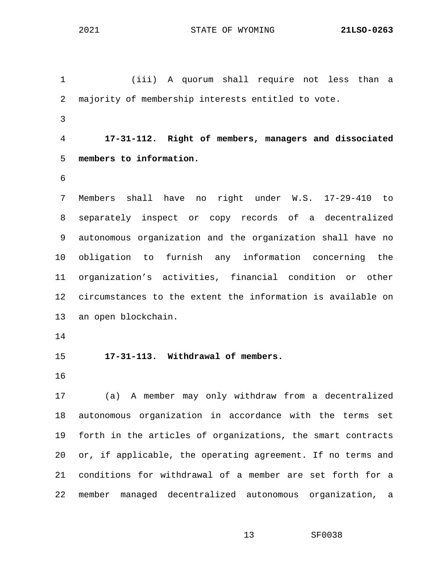1 (iii) A quorum shall require not less than a 2 majority of membership interests entitled to vote. 3 4 **17-31-112. Right of members, managers and dissociated**  5 **members to information.** 6 7 Members shall have no right under W.S. 17-29-410 to 8 separately inspect or copy records of a decentralized 9 autonomous organization and the organization shall have no 10 obligation to furnish any information concerning the 11 organization's activities, financial condition or other 12 circumstances to the extent the information is available on 13 an open blockchain. 14 15 **17-31-113. Withdrawal of members.**  16 17 (a) A member may only withdraw from a decentralized 18 autonomous organization in accordance with the terms set 19 forth in the articles of organizations, the smart contracts 20 or, if applicable, the operating agreement. If no terms and 21 conditions for withdrawal of a member are set forth for a 22 member managed decentralized autonomous organization, a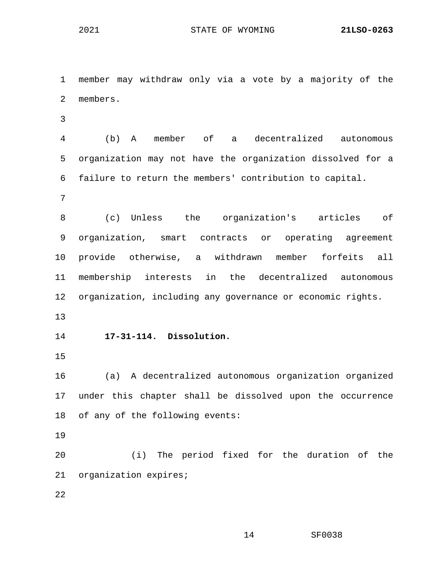1 member may withdraw only via a vote by a majority of the 2 members. 3 4 (b) A member of a decentralized autonomous 5 organization may not have the organization dissolved for a 6 failure to return the members' contribution to capital. 7 8 (c) Unless the organization's articles of 9 organization, smart contracts or operating agreement 10 provide otherwise, a withdrawn member forfeits all 11 membership interests in the decentralized autonomous 12 organization, including any governance or economic rights. 13 14 **17-31-114. Dissolution.** 15 16 (a) A decentralized autonomous organization organized 17 under this chapter shall be dissolved upon the occurrence 18 of any of the following events: 19 20 (i) The period fixed for the duration of the 21 organization expires; 22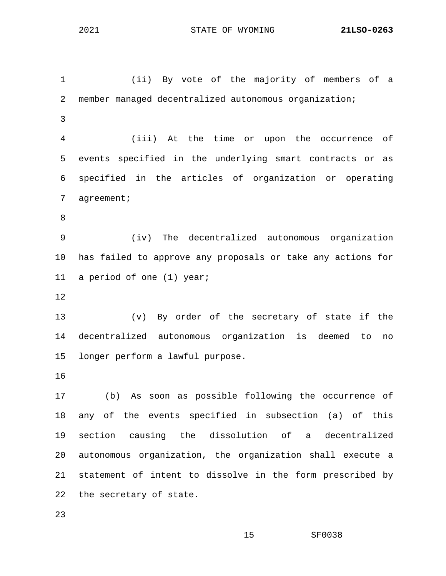1 (ii) By vote of the majority of members of a 2 member managed decentralized autonomous organization; 3 4 (iii) At the time or upon the occurrence of 5 events specified in the underlying smart contracts or as 6 specified in the articles of organization or operating 7 agreement; 8 9 (iv) The decentralized autonomous organization 10 has failed to approve any proposals or take any actions for 11 a period of one (1) year; 12 13 (v) By order of the secretary of state if the 14 decentralized autonomous organization is deemed to no 15 longer perform a lawful purpose. 16 17 (b) As soon as possible following the occurrence of 18 any of the events specified in subsection (a) of this 19 section causing the dissolution of a decentralized 20 autonomous organization, the organization shall execute a 21 statement of intent to dissolve in the form prescribed by

22 the secretary of state.

23